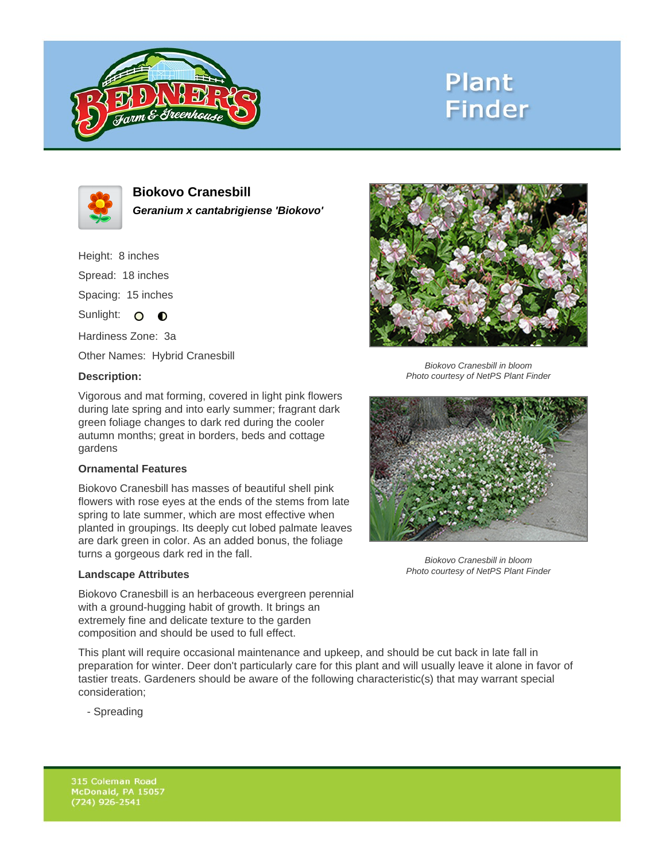

# **Plant Finder**



**Biokovo Cranesbill Geranium x cantabrigiense 'Biokovo'**

Height: 8 inches Spread: 18 inches Spacing: 15 inches Sunlight: O **O** 

Hardiness Zone: 3a

Other Names: Hybrid Cranesbill

## **Description:**

Vigorous and mat forming, covered in light pink flowers during late spring and into early summer; fragrant dark green foliage changes to dark red during the cooler autumn months; great in borders, beds and cottage gardens

## **Ornamental Features**

Biokovo Cranesbill has masses of beautiful shell pink flowers with rose eyes at the ends of the stems from late spring to late summer, which are most effective when planted in groupings. Its deeply cut lobed palmate leaves are dark green in color. As an added bonus, the foliage turns a gorgeous dark red in the fall.

### **Landscape Attributes**

Biokovo Cranesbill is an herbaceous evergreen perennial with a ground-hugging habit of growth. It brings an extremely fine and delicate texture to the garden composition and should be used to full effect.

This plant will require occasional maintenance and upkeep, and should be cut back in late fall in preparation for winter. Deer don't particularly care for this plant and will usually leave it alone in favor of tastier treats. Gardeners should be aware of the following characteristic(s) that may warrant special consideration;

- Spreading



Biokovo Cranesbill in bloom Photo courtesy of NetPS Plant Finder



Biokovo Cranesbill in bloom Photo courtesy of NetPS Plant Finder

315 Coleman Road McDonald, PA 15057  $(724)$  926-2541